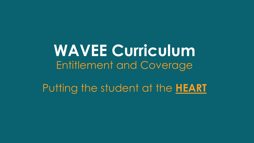**WAVEE Curriculum** Entitlement and Coverage

Putting the student at the **HEART**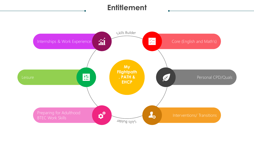## **Entitlement**